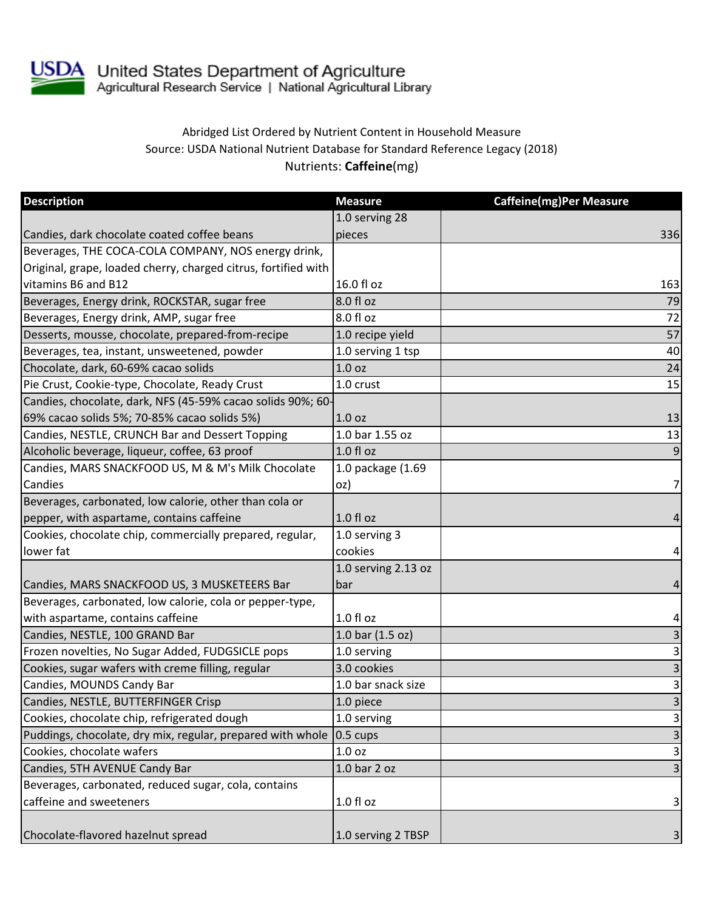

USDA United States Department of Agriculture<br>Agricultural Research Service | National Agricultural Library

## Abridged List Ordered by Nutrient Content in Household Measure Source: USDA National Nutrient Database for Standard Reference Legacy (2018) Nutrients: **Caffeine**(mg)

| <b>Description</b>                                                  | <b>Measure</b>      | <b>Caffeine(mg)Per Measure</b> |
|---------------------------------------------------------------------|---------------------|--------------------------------|
|                                                                     | 1.0 serving 28      |                                |
| Candies, dark chocolate coated coffee beans                         | pieces              | 336                            |
| Beverages, THE COCA-COLA COMPANY, NOS energy drink,                 |                     |                                |
| Original, grape, loaded cherry, charged citrus, fortified with      |                     |                                |
| vitamins B6 and B12                                                 | 16.0 fl oz          | 163                            |
| Beverages, Energy drink, ROCKSTAR, sugar free                       | 8.0 fl oz           | 79                             |
| Beverages, Energy drink, AMP, sugar free                            | 8.0 fl oz           | 72                             |
| Desserts, mousse, chocolate, prepared-from-recipe                   | 1.0 recipe yield    | 57                             |
| Beverages, tea, instant, unsweetened, powder                        | 1.0 serving 1 tsp   | 40                             |
| Chocolate, dark, 60-69% cacao solids                                | 1.0 <sub>oz</sub>   | 24                             |
| Pie Crust, Cookie-type, Chocolate, Ready Crust                      | 1.0 crust           | 15                             |
| Candies, chocolate, dark, NFS (45-59% cacao solids 90%; 60-         |                     |                                |
| 69% cacao solids 5%; 70-85% cacao solids 5%)                        | 1.0 <sub>oz</sub>   | 13                             |
| Candies, NESTLE, CRUNCH Bar and Dessert Topping                     | 1.0 bar 1.55 oz     | 13                             |
| Alcoholic beverage, liqueur, coffee, 63 proof                       | $1.0 f$ l oz        | $\overline{9}$                 |
| Candies, MARS SNACKFOOD US, M & M's Milk Chocolate                  | 1.0 package (1.69   |                                |
| Candies                                                             | oz)                 | 7                              |
| Beverages, carbonated, low calorie, other than cola or              |                     |                                |
| pepper, with aspartame, contains caffeine                           | $1.0 f$ l oz        | 4                              |
| Cookies, chocolate chip, commercially prepared, regular,            | 1.0 serving 3       |                                |
| lower fat                                                           | cookies             | 4                              |
|                                                                     | 1.0 serving 2.13 oz |                                |
| Candies, MARS SNACKFOOD US, 3 MUSKETEERS Bar                        | bar                 | 4                              |
| Beverages, carbonated, low calorie, cola or pepper-type,            |                     |                                |
| with aspartame, contains caffeine                                   | $1.0 f$ l oz        | 4                              |
| Candies, NESTLE, 100 GRAND Bar                                      | 1.0 bar $(1.5 oz)$  | $\overline{\mathbf{3}}$        |
| Frozen novelties, No Sugar Added, FUDGSICLE pops                    | 1.0 serving         | 3                              |
| Cookies, sugar wafers with creme filling, regular                   | 3.0 cookies         | $\overline{\mathbf{3}}$        |
| Candies, MOUNDS Candy Bar                                           | 1.0 bar snack size  | $\mathbf{3}$                   |
| Candies, NESTLE, BUTTERFINGER Crisp                                 | 1.0 piece           | $\overline{3}$                 |
| Cookies, chocolate chip, refrigerated dough                         | 1.0 serving         | 3                              |
| Puddings, chocolate, dry mix, regular, prepared with whole 0.5 cups |                     | $\mathsf{3}$                   |
| Cookies, chocolate wafers                                           | 1.0 oz              | $\overline{\mathbf{a}}$        |
| Candies, 5TH AVENUE Candy Bar                                       | 1.0 bar 2 oz        | $\overline{\mathbf{3}}$        |
| Beverages, carbonated, reduced sugar, cola, contains                |                     |                                |
| caffeine and sweeteners                                             | $1.0 f$ l oz        | 3                              |
|                                                                     |                     |                                |
| Chocolate-flavored hazelnut spread                                  | 1.0 serving 2 TBSP  | 3                              |